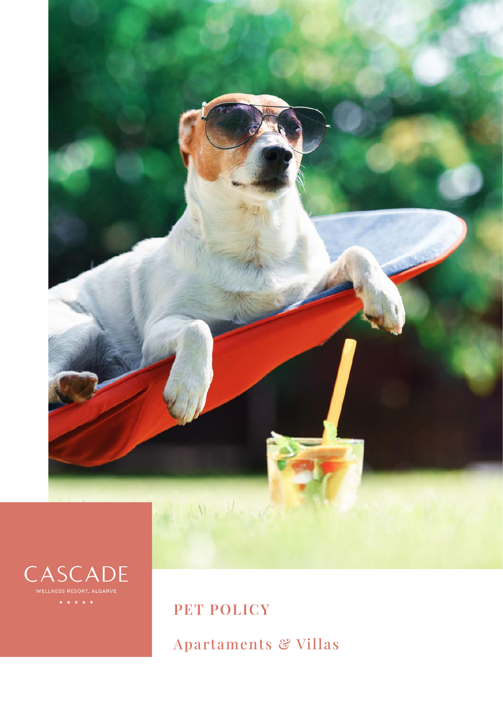



**PET POLICY**

Apartaments & Villas